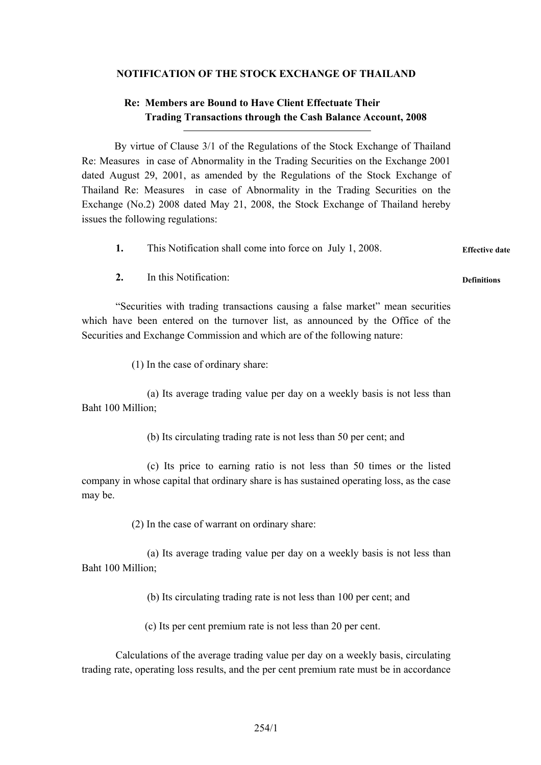## **NOTIFICATION OF THE STOCK EXCHANGE OF THAILAND**

## **Re: Members are Bound to Have Client Effectuate Their Trading Transactions through the Cash Balance Account, 2008**

By virtue of Clause 3/1 of the Regulations of the Stock Exchange of Thailand Re: Measures in case of Abnormality in the Trading Securities on the Exchange 2001 dated August 29, 2001, as amended by the Regulations of the Stock Exchange of Thailand Re: Measures in case of Abnormality in the Trading Securities on the Exchange (No.2) 2008 dated May 21, 2008, the Stock Exchange of Thailand hereby issues the following regulations:

**1.** This Notification shall come into force on July 1, 2008. **Effective date**

**Definitions** 

**2.** In this Notification:

"Securities with trading transactions causing a false market" mean securities which have been entered on the turnover list, as announced by the Office of the Securities and Exchange Commission and which are of the following nature:

(1) In the case of ordinary share:

 (a) Its average trading value per day on a weekly basis is not less than Baht 100 Million;

(b) Its circulating trading rate is not less than 50 per cent; and

 (c) Its price to earning ratio is not less than 50 times or the listed company in whose capital that ordinary share is has sustained operating loss, as the case may be.

(2) In the case of warrant on ordinary share:

 (a) Its average trading value per day on a weekly basis is not less than Baht 100 Million;

(b) Its circulating trading rate is not less than 100 per cent; and

(c) Its per cent premium rate is not less than 20 per cent.

Calculations of the average trading value per day on a weekly basis, circulating trading rate, operating loss results, and the per cent premium rate must be in accordance